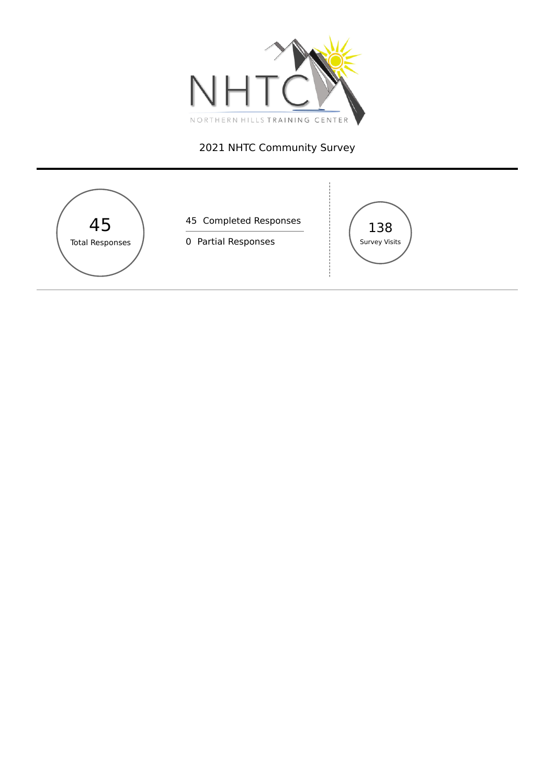

# NHTC Community Survey

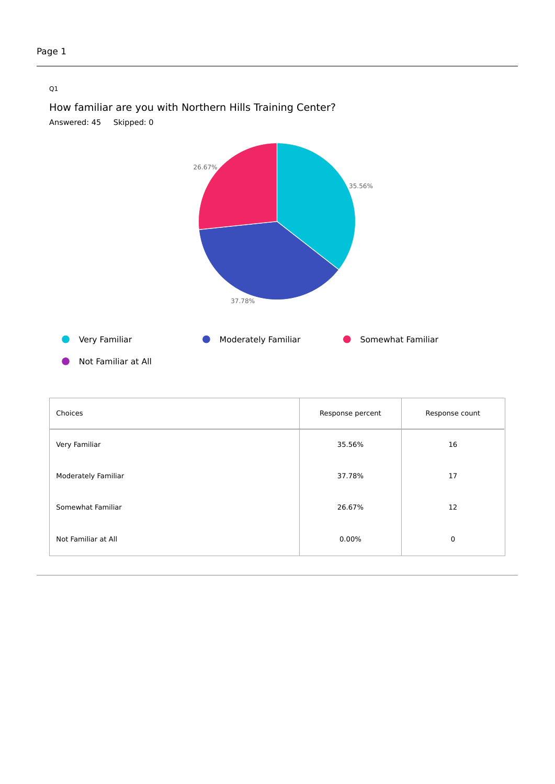### Q1



How familiar are you with Northern Hills Training Center? Answered: 45 Skipped: 0

Not Familiar at All

| Choices             | Response percent | Response count |
|---------------------|------------------|----------------|
| Very Familiar       | 35.56%           | 16             |
| Moderately Familiar | 37.78%           | 17             |
| Somewhat Familiar   | 26.67%           | 12             |
| Not Familiar at All | $0.00\%$         | 0              |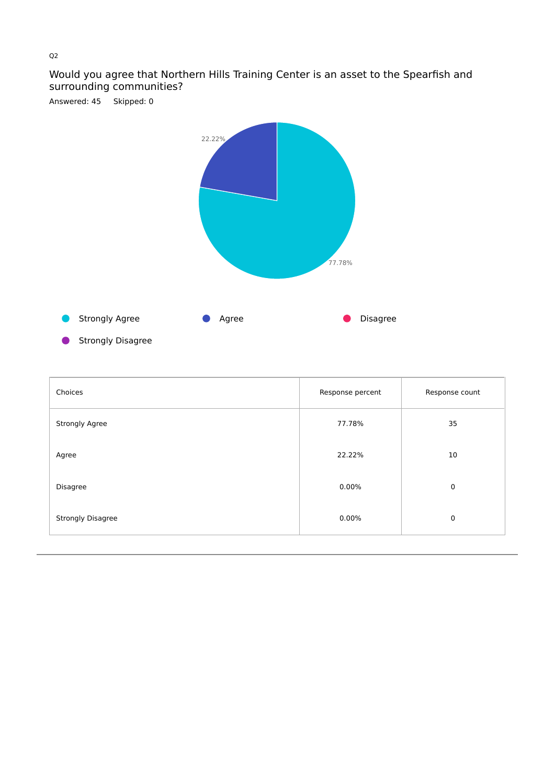## Would you agree that Northern Hills Training Center is an asset to the Spearfish and surrounding communities?



Strongly Disagree

| Choices                  | Response percent | Response count |
|--------------------------|------------------|----------------|
| Strongly Agree           | 77.78%           | 35             |
| Agree                    | 22.22%           | 10             |
| Disagree                 | 0.00%            | $\mathbf 0$    |
| <b>Strongly Disagree</b> | 0.00%            | $\mathbf 0$    |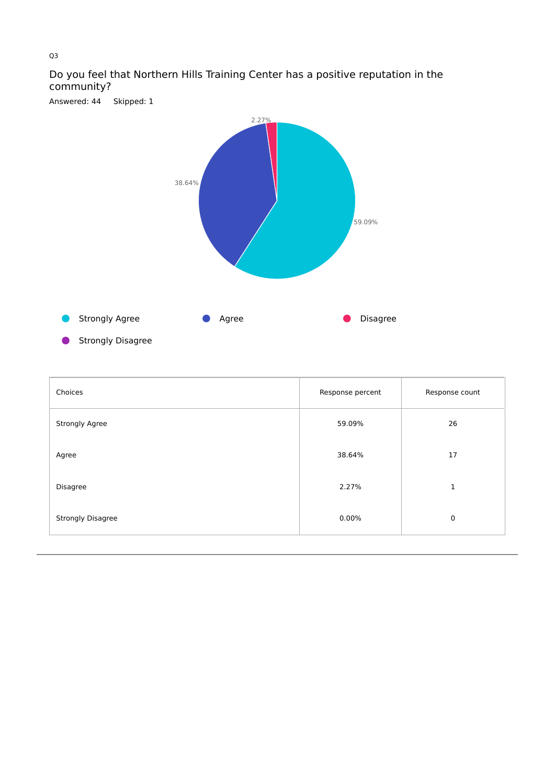

## Do you feel that Northern Hills Training Center has a positive reputation in the community? Answered: 44 Skipped: 1

Strongly Disagree

| Choices                  | Response percent | Response count |
|--------------------------|------------------|----------------|
| Strongly Agree           | 59.09%           | 26             |
| Agree                    | 38.64%           | 17             |
| Disagree                 | 2.27%            | 1              |
| <b>Strongly Disagree</b> | 0.00%            | $\mathbf 0$    |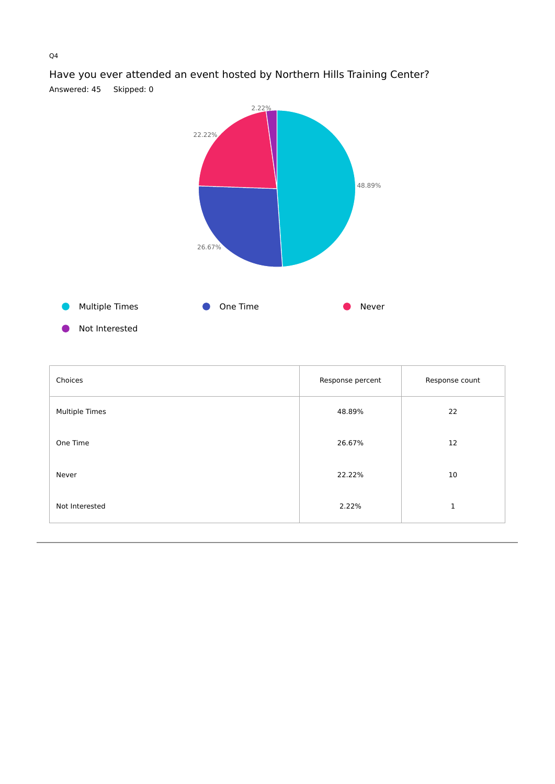

Have you ever attended an event hosted by Northern Hills Training Center? Answered: 45 Skipped: 0

Not Interested

| Choices        | Response percent | Response count |
|----------------|------------------|----------------|
| Multiple Times | 48.89%           | 22             |
| One Time       | 26.67%           | 12             |
| Never          | 22.22%           | 10             |
| Not Interested | 2.22%            | 1              |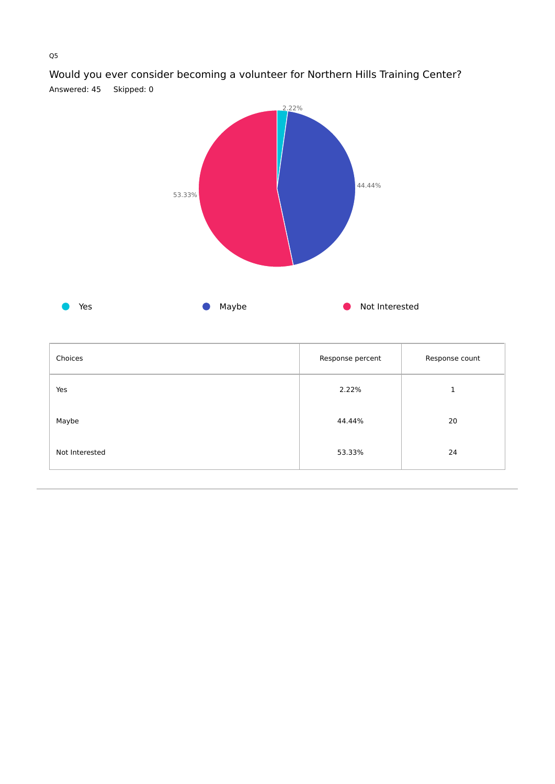

Would you ever consider becoming a volunteer for Northern Hills Training Center? Answered: 45 Skipped: 0

| Choices        | Response percent | Response count |
|----------------|------------------|----------------|
| Yes            | 2.22%            | 1              |
| Maybe          | 44.44%           | 20             |
| Not Interested | 53.33%           | 24             |

### Q5